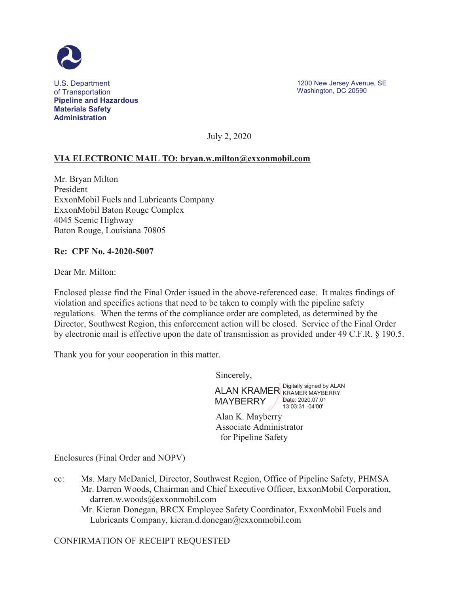

U.S. Department of Transportation **Pipeline and Hazardous Materials Safety Administration**

1200 New Jersey Avenue, SE Washington, DC 20590

July 2, 2020

## **VIA ELECTRONIC MAIL TO: bryan.w.milton@exxonmobil.com**

Mr. Bryan Milton President ExxonMobil Fuels and Lubricants Company ExxonMobil Baton Rouge Complex 4045 Scenic Highway Baton Rouge, Louisiana 70805

## **Re: CPF No. 4-2020-5007**

Dear Mr. Milton:

Enclosed please find the Final Order issued in the above-referenced case. It makes findings of violation and specifies actions that need to be taken to comply with the pipeline safety regulations. When the terms of the compliance order are completed, as determined by the Director, Southwest Region, this enforcement action will be closed. Service of the Final Order by electronic mail is effective upon the date of transmission as provided under 49 C.F.R. § 190.5.

Thank you for your cooperation in this matter.

Sincerely,

ALAN KRAMER Digitally signed by ALAN MAYBERRY KRAMER MAYBERRY Date: 2020.07.01 13:03:31 -04'00'

Alan K. Mayberry Associate Administrator for Pipeline Safety

Enclosures (Final Order and NOPV)

- cc: Ms. Mary McDaniel, Director, Southwest Region, Office of Pipeline Safety, PHMSA Mr. Darren Woods, Chairman and Chief Executive Officer, ExxonMobil Corporation, darren.w.woods@exxonmobil.com
	- Mr. Kieran Donegan, BRCX Employee Safety Coordinator, ExxonMobil Fuels and Lubricants Company, kieran.d.donegan@exxonmobil.com

## CONFIRMATION OF RECEIPT REQUESTED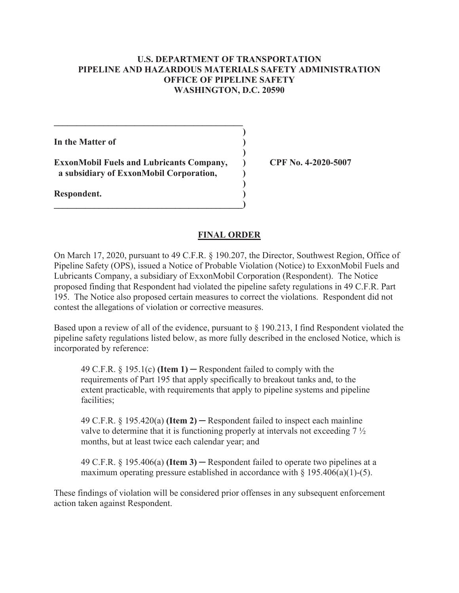## **U.S. DEPARTMENT OF TRANSPORTATION PIPELINE AND HAZARDOUS MATERIALS SAFETY ADMINISTRATION OFFICE OF PIPELINE SAFETY WASHINGTON, D.C. 20590**

**In the Matter of )** 

**ExxonMobil Fuels and Lubricants Company, ) CPF No. 4-2020-5007 a subsidiary of ExxonMobil Corporation, )** 

 $\mathcal{L} = \{ \mathcal{L} \}$  **)** 

 **)** 

 **)** 

**\_\_\_\_\_\_\_\_\_\_\_\_\_\_\_\_\_\_\_\_\_\_\_\_\_\_\_\_\_\_\_\_\_\_\_\_\_\_\_\_\_\_)** 

**Respondent. )** 

## **FINAL ORDER**

On March 17, 2020, pursuant to 49 C.F.R. § 190.207, the Director, Southwest Region, Office of Pipeline Safety (OPS), issued a Notice of Probable Violation (Notice) to ExxonMobil Fuels and Lubricants Company, a subsidiary of ExxonMobil Corporation (Respondent). The Notice proposed finding that Respondent had violated the pipeline safety regulations in 49 C.F.R. Part 195. The Notice also proposed certain measures to correct the violations. Respondent did not contest the allegations of violation or corrective measures.

Based upon a review of all of the evidence, pursuant to § 190.213, I find Respondent violated the pipeline safety regulations listed below, as more fully described in the enclosed Notice, which is incorporated by reference:

49 C.F.R.  $\S 195.1(c)$  (**Item 1)** – Respondent failed to comply with the requirements of Part 195 that apply specifically to breakout tanks and, to the extent practicable, with requirements that apply to pipeline systems and pipeline facilities;

49 C.F.R.  $\S$  195.420(a) **(Item 2)** – Respondent failed to inspect each mainline valve to determine that it is functioning properly at intervals not exceeding 7 ½ months, but at least twice each calendar year; and

49 C.F.R.  $\S$  195.406(a) **(Item 3)** – Respondent failed to operate two pipelines at a maximum operating pressure established in accordance with  $\S$  195.406(a)(1)-(5).

These findings of violation will be considered prior offenses in any subsequent enforcement action taken against Respondent.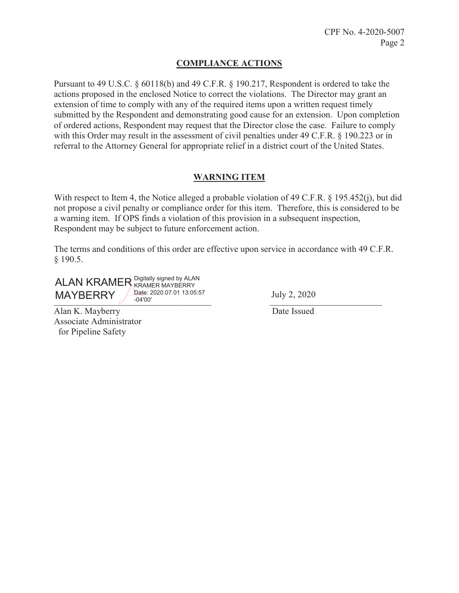## **COMPLIANCE ACTIONS**

Pursuant to 49 U.S.C. § 60118(b) and 49 C.F.R. § 190.217, Respondent is ordered to take the actions proposed in the enclosed Notice to correct the violations. The Director may grant an extension of time to comply with any of the required items upon a written request timely submitted by the Respondent and demonstrating good cause for an extension. Upon completion of ordered actions, Respondent may request that the Director close the case. Failure to comply with this Order may result in the assessment of civil penalties under 49 C.F.R. § 190.223 or in referral to the Attorney General for appropriate relief in a district court of the United States.

## **WARNING ITEM**

With respect to Item 4, the Notice alleged a probable violation of 49 C.F.R. § 195.452(j), but did not propose a civil penalty or compliance order for this item. Therefore, this is considered to be a warning item. If OPS finds a violation of this provision in a subsequent inspection, Respondent may be subject to future enforcement action.

The terms and conditions of this order are effective upon service in accordance with 49 C.F.R. § 190.5.

 $\frac{1}{2}$   $\frac{1}{2}$   $\frac{1}{2}$   $\frac{1}{2}$   $\frac{1}{2}$   $\frac{1}{2}$   $\frac{1}{2}$   $\frac{1}{2}$   $\frac{1}{2}$   $\frac{1}{2}$   $\frac{1}{2}$   $\frac{1}{2}$   $\frac{1}{2}$   $\frac{1}{2}$   $\frac{1}{2}$   $\frac{1}{2}$   $\frac{1}{2}$   $\frac{1}{2}$   $\frac{1}{2}$   $\frac{1}{2}$   $\frac{1}{2}$   $\frac{1}{2}$  ALAN KRAMER Eigitally signed by ALAN MAYBERRY KRAMER MAYBERRY Date: 2020.07.01 13:05:57 -04'00' July 2, 2020

Alan K. Mayberry Date Issued Associate Administrator for Pipeline Safety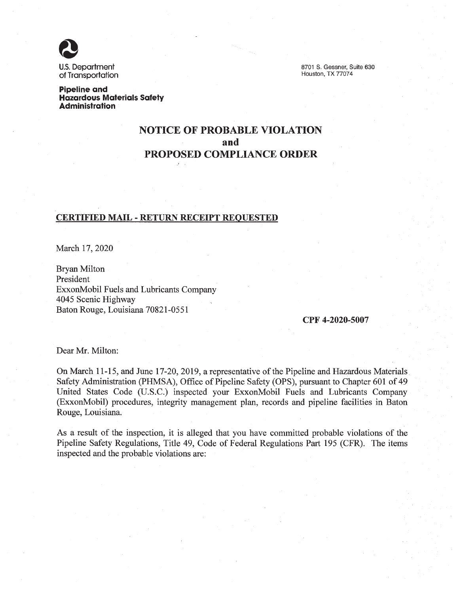**U.S. Department** of Transportation

8701 S. Gessner, Suite 630 Houston, TX 77074

**Pipeline and Hazardous Materials Safety Administration** 

# **NOTICE OF PROBABLE VIOLATION** and **PROPOSED COMPLIANCE ORDER**

### **CERTIFIED MAIL - RETURN RECEIPT REQUESTED**

March 17, 2020

Bryan Milton President ExxonMobil Fuels and Lubricants Company 4045 Scenic Highway Baton Rouge, Louisiana 70821-0551

#### CPF 4-2020-5007

Dear Mr. Milton:

On March 11-15, and June 17-20, 2019, a representative of the Pipeline and Hazardous Materials Safety Administration (PHMSA), Office of Pipeline Safety (OPS), pursuant to Chapter 601 of 49 United States Code (U.S.C.) inspected your ExxonMobil Fuels and Lubricants Company (ExxonMobil) procedures, integrity management plan, records and pipeline facilities in Baton Rouge, Louisiana.

As a result of the inspection, it is alleged that you have committed probable violations of the Pipeline Safety Regulations, Title 49, Code of Federal Regulations Part 195 (CFR). The items inspected and the probable violations are: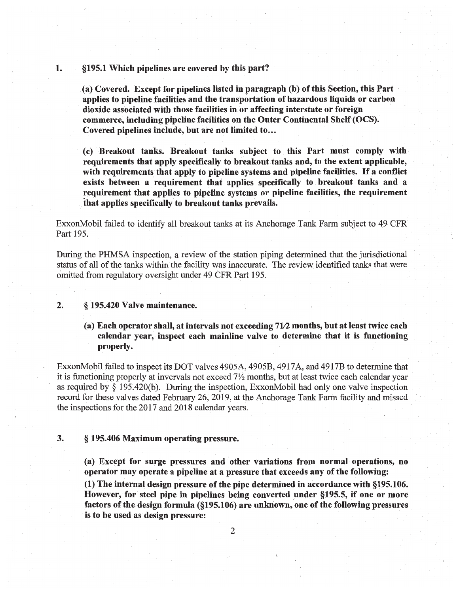#### §195.1 Which pipelines are covered by this part? 1.

(a) Covered. Except for pipelines listed in paragraph (b) of this Section, this Part applies to pipeline facilities and the transportation of hazardous liquids or carbon dioxide associated with those facilities in or affecting interstate or foreign commerce, including pipeline facilities on the Outer Continental Shelf (OCS). Covered pipelines include, but are not limited to...

(c) Breakout tanks. Breakout tanks subject to this Part must comply with requirements that apply specifically to breakout tanks and, to the extent applicable, with requirements that apply to pipeline systems and pipeline facilities. If a conflict exists between a requirement that applies specifically to breakout tanks and a requirement that applies to pipeline systems or pipeline facilities, the requirement that applies specifically to breakout tanks prevails.

ExxonMobil failed to identify all breakout tanks at its Anchorage Tank Farm subject to 49 CFR Part 195.

During the PHMSA inspection, a review of the station piping determined that the jurisdictional status of all of the tanks within the facility was inaccurate. The review identified tanks that were omitted from regulatory oversight under 49 CFR Part 195.

#### $2.$ § 195.420 Valve maintenance.

(a) Each operator shall, at intervals not exceeding 71/2 months, but at least twice each calendar year, inspect each mainline valve to determine that it is functioning properly.

ExxonMobil failed to inspect its DOT valves 4905A, 4905B, 4917A, and 4917B to determine that it is functioning properly at invervals not exceed 7<sup>1</sup>/<sub>2</sub> months, but at least twice each calendar year as required by  $\S$  195.420(b). During the inspection, ExxonMobil had only one valve inspection record for these valves dated February 26, 2019, at the Anchorage Tank Farm facility and missed the inspections for the 2017 and 2018 calendar years.

#### $3.$ § 195.406 Maximum operating pressure.

(a) Except for surge pressures and other variations from normal operations, no operator may operate a pipeline at a pressure that exceeds any of the following:

(1) The internal design pressure of the pipe determined in accordance with §195.106. However, for steel pipe in pipelines being converted under §195.5, if one or more factors of the design formula (§195.106) are unknown, one of the following pressures is to be used as design pressure: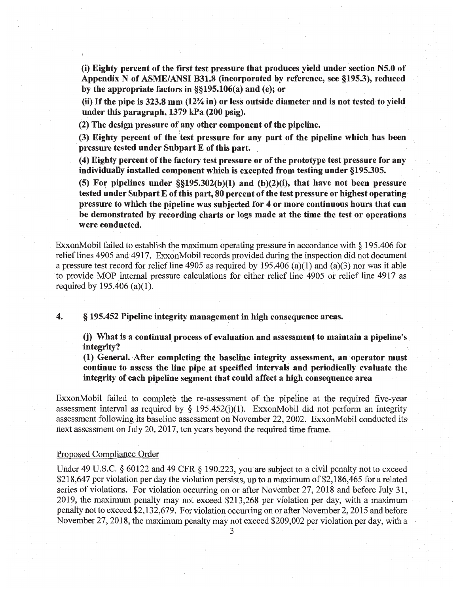(i) Eighty percent of the first test pressure that produces yield under section N5.0 of Appendix N of ASME/ANSI B31.8 (incorporated by reference, see §195.3), reduced by the appropriate factors in  $\S$ [195.106(a) and (e); or

(ii) If the pipe is 323.8 mm (12% in) or less outside diameter and is not tested to yield under this paragraph, 1379 kPa (200 psig).

(2) The design pressure of any other component of the pipeline.

(3) Eighty percent of the test pressure for any part of the pipeline which has been pressure tested under Subpart E of this part.

(4) Eighty percent of the factory test pressure or of the prototype test pressure for any individually installed component which is excepted from testing under §195.305.

(5) For pipelines under  $\S(195.302(b)(1)$  and (b)(2)(i), that have not been pressure tested under Subpart E of this part, 80 percent of the test pressure or highest operating pressure to which the pipeline was subjected for 4 or more continuous hours that can be demonstrated by recording charts or logs made at the time the test or operations were conducted.

ExxonMobil failed to establish the maximum operating pressure in accordance with § 195.406 for relief lines 4905 and 4917. ExxonMobil records provided during the inspection did not document a pressure test record for relief line 4905 as required by 195.406 (a)(1) and (a)(3) nor was it able to provide MOP internal pressure calculations for either relief line 4905 or relief line 4917 as required by 195.406 (a)(1).

4. § 195.452 Pipeline integrity management in high consequence areas.

(j) What is a continual process of evaluation and assessment to maintain a pipeline's integrity?

(1) General. After completing the baseline integrity assessment, an operator must continue to assess the line pipe at specified intervals and periodically evaluate the integrity of each pipeline segment that could affect a high consequence area

ExxonMobil failed to complete the re-assessment of the pipeline at the required five-year assessment interval as required by  $\S$  195.452(i)(1). ExxonMobil did not perform an integrity assessment following its baseline assessment on November 22, 2002. ExxonMobil conducted its next assessment on July 20, 2017, ten years beyond the required time frame.

### Proposed Compliance Order

Under 49 U.S.C.  $\S$  60122 and 49 CFR  $\S$  190.223, you are subject to a civil penalty not to exceed \$218,647 per violation per day the violation persists, up to a maximum of \$2,186,465 for a related series of violations. For violation occurring on or after November 27, 2018 and before July 31, 2019, the maximum penalty may not exceed \$213,268 per violation per day, with a maximum penalty not to exceed \$2,132,679. For violation occurring on or after November 2, 2015 and before November 27, 2018, the maximum penalty may not exceed \$209,002 per violation per day, with a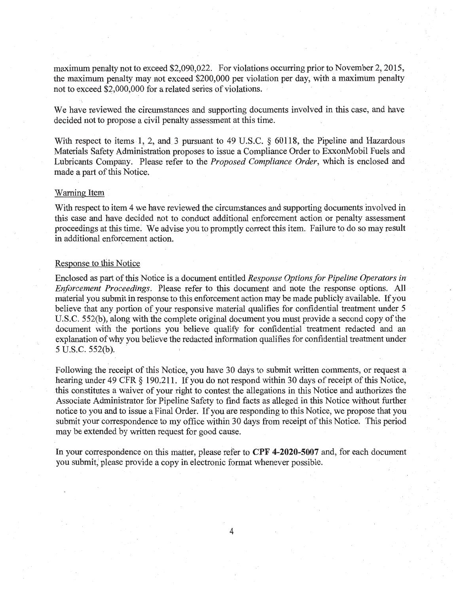maximum penalty not to exceed \$2,090,022. For violations occurring prior to November 2, 2015, the maximum penalty may not exceed \$200,000 per violation per day, with a maximum penalty not to exceed \$2,000,000 for a related series of violations.

We have reviewed the circumstances and supporting documents involved in this case, and have decided not to propose a civil penalty assessment at this time.

With respect to items 1, 2, and 3 pursuant to 49 U.S.C. § 60118, the Pipeline and Hazardous Materials Safety Administration proposes to issue a Compliance Order to ExxonMobil Fuels and Lubricants Company. Please refer to the Proposed Compliance Order, which is enclosed and made a part of this Notice.

### **Warning Item**

With respect to item 4 we have reviewed the circumstances and supporting documents involved in this case and have decided not to conduct additional enforcement action or penalty assessment proceedings at this time. We advise you to promptly correct this item. Failure to do so may result in additional enforcement action.

### Response to this Notice

Enclosed as part of this Notice is a document entitled Response Options for Pipeline Operators in *Enforcement Proceedings.* Please refer to this document and note the response options. All material you submit in response to this enforcement action may be made publicly available. If you believe that any portion of your responsive material qualifies for confidential treatment under 5 U.S.C. 552(b), along with the complete original document you must provide a second copy of the document with the portions you believe qualify for confidential treatment redacted and an explanation of why you believe the redacted information qualifies for confidential treatment under 5 U.S.C. 552(b).

Following the receipt of this Notice, you have 30 days to submit written comments, or request a hearing under 49 CFR § 190.211. If you do not respond within 30 days of receipt of this Notice, this constitutes a waiver of your right to contest the allegations in this Notice and authorizes the Associate Administrator for Pipeline Safety to find facts as alleged in this Notice without further notice to you and to issue a Final Order. If you are responding to this Notice, we propose that you submit your correspondence to my office within 30 days from receipt of this Notice. This period may be extended by written request for good cause.

In your correspondence on this matter, please refer to CPF 4-2020-5007 and, for each document you submit, please provide a copy in electronic format whenever possible.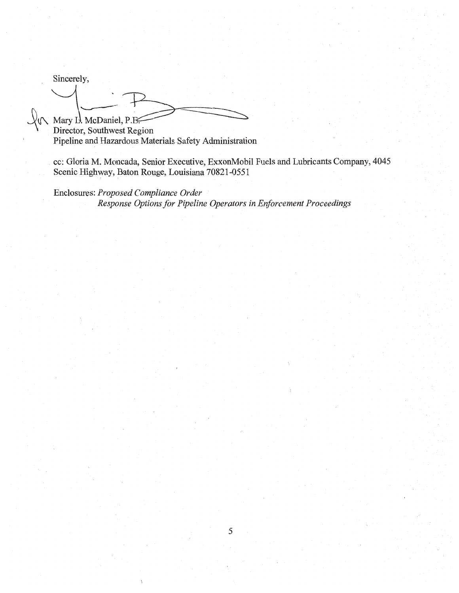Sincerely,

 $\sqrt{\mathcal{N}}$  Mary I. McDaniel, P.E.

Director, Southwest Region Pipeline and Hazardous Materials Safety Administration

cc: Gloria M. Moncada, Senior Executive, ExxonMobil Fuels and Lubricants Company, 4045 Scenic Highway, Baton Rouge, Louisiana 70821-0551

Enclosures: Proposed Compliance Order Response Options for Pipeline Operators in Enforcement Proceedings